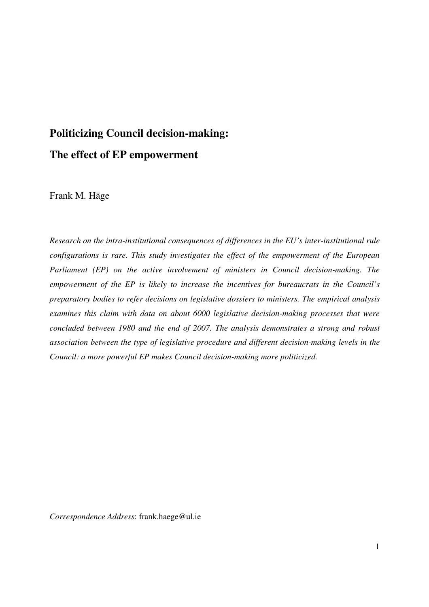# **Politicizing Council decision-making: The effect of EP empowerment**

Frank M. Häge

*Research on the intra-institutional consequences of differences in the EU's inter-institutional rule configurations is rare. This study investigates the effect of the empowerment of the European Parliament (EP) on the active involvement of ministers in Council decision-making. The empowerment of the EP is likely to increase the incentives for bureaucrats in the Council's preparatory bodies to refer decisions on legislative dossiers to ministers. The empirical analysis examines this claim with data on about 6000 legislative decision-making processes that were concluded between 1980 and the end of 2007. The analysis demonstrates a strong and robust association between the type of legislative procedure and different decision-making levels in the Council: a more powerful EP makes Council decision-making more politicized.* 

*Correspondence Address*: frank.haege@ul.ie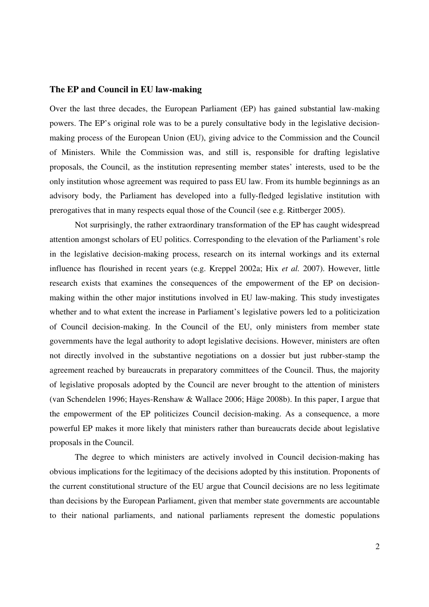#### **The EP and Council in EU law-making**

Over the last three decades, the European Parliament (EP) has gained substantial law-making powers. The EP's original role was to be a purely consultative body in the legislative decisionmaking process of the European Union (EU), giving advice to the Commission and the Council of Ministers. While the Commission was, and still is, responsible for drafting legislative proposals, the Council, as the institution representing member states' interests, used to be the only institution whose agreement was required to pass EU law. From its humble beginnings as an advisory body, the Parliament has developed into a fully-fledged legislative institution with prerogatives that in many respects equal those of the Council (see e.g. Rittberger 2005).

Not surprisingly, the rather extraordinary transformation of the EP has caught widespread attention amongst scholars of EU politics. Corresponding to the elevation of the Parliament's role in the legislative decision-making process, research on its internal workings and its external influence has flourished in recent years (e.g. Kreppel 2002a; Hix *et al.* 2007). However, little research exists that examines the consequences of the empowerment of the EP on decisionmaking within the other major institutions involved in EU law-making. This study investigates whether and to what extent the increase in Parliament's legislative powers led to a politicization of Council decision-making. In the Council of the EU, only ministers from member state governments have the legal authority to adopt legislative decisions. However, ministers are often not directly involved in the substantive negotiations on a dossier but just rubber-stamp the agreement reached by bureaucrats in preparatory committees of the Council. Thus, the majority of legislative proposals adopted by the Council are never brought to the attention of ministers (van Schendelen 1996; Hayes-Renshaw & Wallace 2006; Häge 2008b). In this paper, I argue that the empowerment of the EP politicizes Council decision-making. As a consequence, a more powerful EP makes it more likely that ministers rather than bureaucrats decide about legislative proposals in the Council.

The degree to which ministers are actively involved in Council decision-making has obvious implications for the legitimacy of the decisions adopted by this institution. Proponents of the current constitutional structure of the EU argue that Council decisions are no less legitimate than decisions by the European Parliament, given that member state governments are accountable to their national parliaments, and national parliaments represent the domestic populations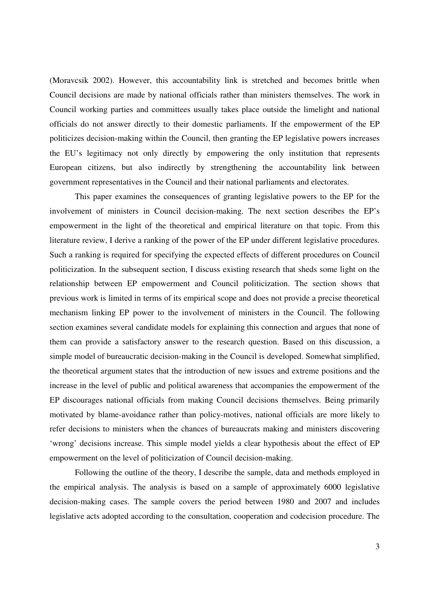(Moravcsik 2002). However, this accountability link is stretched and becomes brittle when Council decisions are made by national officials rather than ministers themselves. The work in Council working parties and committees usually takes place outside the limelight and national officials do not answer directly to their domestic parliaments. If the empowerment of the EP politicizes decision-making within the Council, then granting the EP legislative powers increases the EU's legitimacy not only directly by empowering the only institution that represents European citizens, but also indirectly by strengthening the accountability link between government representatives in the Council and their national parliaments and electorates.

This paper examines the consequences of granting legislative powers to the EP for the involvement of ministers in Council decision-making. The next section describes the EP's empowerment in the light of the theoretical and empirical literature on that topic. From this literature review, I derive a ranking of the power of the EP under different legislative procedures. Such a ranking is required for specifying the expected effects of different procedures on Council politicization. In the subsequent section, I discuss existing research that sheds some light on the relationship between EP empowerment and Council politicization. The section shows that previous work is limited in terms of its empirical scope and does not provide a precise theoretical mechanism linking EP power to the involvement of ministers in the Council. The following section examines several candidate models for explaining this connection and argues that none of them can provide a satisfactory answer to the research question. Based on this discussion, a simple model of bureaucratic decision-making in the Council is developed. Somewhat simplified, the theoretical argument states that the introduction of new issues and extreme positions and the increase in the level of public and political awareness that accompanies the empowerment of the EP discourages national officials from making Council decisions themselves. Being primarily motivated by blame-avoidance rather than policy-motives, national officials are more likely to refer decisions to ministers when the chances of bureaucrats making and ministers discovering 'wrong' decisions increase. This simple model yields a clear hypothesis about the effect of EP empowerment on the level of politicization of Council decision-making.

Following the outline of the theory, I describe the sample, data and methods employed in the empirical analysis. The analysis is based on a sample of approximately 6000 legislative decision-making cases. The sample covers the period between 1980 and 2007 and includes legislative acts adopted according to the consultation, cooperation and codecision procedure. The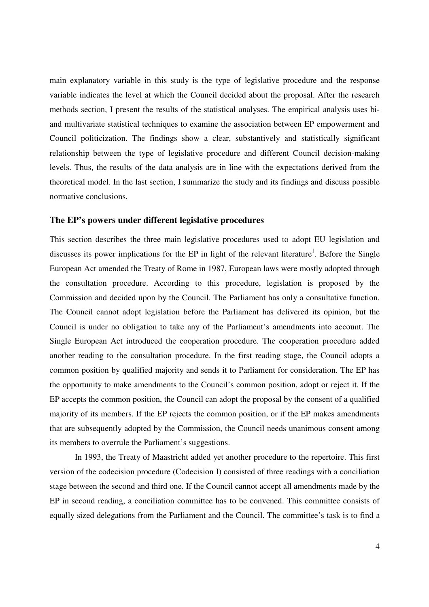main explanatory variable in this study is the type of legislative procedure and the response variable indicates the level at which the Council decided about the proposal. After the research methods section, I present the results of the statistical analyses. The empirical analysis uses biand multivariate statistical techniques to examine the association between EP empowerment and Council politicization. The findings show a clear, substantively and statistically significant relationship between the type of legislative procedure and different Council decision-making levels. Thus, the results of the data analysis are in line with the expectations derived from the theoretical model. In the last section, I summarize the study and its findings and discuss possible normative conclusions.

# **The EP's powers under different legislative procedures**

This section describes the three main legislative procedures used to adopt EU legislation and discusses its power implications for the EP in light of the relevant literature<sup>1</sup>. Before the Single European Act amended the Treaty of Rome in 1987, European laws were mostly adopted through the consultation procedure. According to this procedure, legislation is proposed by the Commission and decided upon by the Council. The Parliament has only a consultative function. The Council cannot adopt legislation before the Parliament has delivered its opinion, but the Council is under no obligation to take any of the Parliament's amendments into account. The Single European Act introduced the cooperation procedure. The cooperation procedure added another reading to the consultation procedure. In the first reading stage, the Council adopts a common position by qualified majority and sends it to Parliament for consideration. The EP has the opportunity to make amendments to the Council's common position, adopt or reject it. If the EP accepts the common position, the Council can adopt the proposal by the consent of a qualified majority of its members. If the EP rejects the common position, or if the EP makes amendments that are subsequently adopted by the Commission, the Council needs unanimous consent among its members to overrule the Parliament's suggestions.

In 1993, the Treaty of Maastricht added yet another procedure to the repertoire. This first version of the codecision procedure (Codecision I) consisted of three readings with a conciliation stage between the second and third one. If the Council cannot accept all amendments made by the EP in second reading, a conciliation committee has to be convened. This committee consists of equally sized delegations from the Parliament and the Council. The committee's task is to find a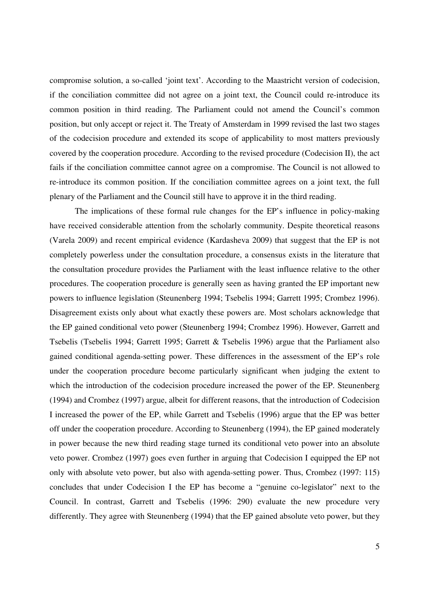compromise solution, a so-called 'joint text'. According to the Maastricht version of codecision, if the conciliation committee did not agree on a joint text, the Council could re-introduce its common position in third reading. The Parliament could not amend the Council's common position, but only accept or reject it. The Treaty of Amsterdam in 1999 revised the last two stages of the codecision procedure and extended its scope of applicability to most matters previously covered by the cooperation procedure. According to the revised procedure (Codecision II), the act fails if the conciliation committee cannot agree on a compromise. The Council is not allowed to re-introduce its common position. If the conciliation committee agrees on a joint text, the full plenary of the Parliament and the Council still have to approve it in the third reading.

The implications of these formal rule changes for the EP's influence in policy-making have received considerable attention from the scholarly community. Despite theoretical reasons (Varela 2009) and recent empirical evidence (Kardasheva 2009) that suggest that the EP is not completely powerless under the consultation procedure, a consensus exists in the literature that the consultation procedure provides the Parliament with the least influence relative to the other procedures. The cooperation procedure is generally seen as having granted the EP important new powers to influence legislation (Steunenberg 1994; Tsebelis 1994; Garrett 1995; Crombez 1996). Disagreement exists only about what exactly these powers are. Most scholars acknowledge that the EP gained conditional veto power (Steunenberg 1994; Crombez 1996). However, Garrett and Tsebelis (Tsebelis 1994; Garrett 1995; Garrett & Tsebelis 1996) argue that the Parliament also gained conditional agenda-setting power. These differences in the assessment of the EP's role under the cooperation procedure become particularly significant when judging the extent to which the introduction of the codecision procedure increased the power of the EP. Steunenberg (1994) and Crombez (1997) argue, albeit for different reasons, that the introduction of Codecision I increased the power of the EP, while Garrett and Tsebelis (1996) argue that the EP was better off under the cooperation procedure. According to Steunenberg (1994), the EP gained moderately in power because the new third reading stage turned its conditional veto power into an absolute veto power. Crombez (1997) goes even further in arguing that Codecision I equipped the EP not only with absolute veto power, but also with agenda-setting power. Thus, Crombez (1997: 115) concludes that under Codecision I the EP has become a "genuine co-legislator" next to the Council. In contrast, Garrett and Tsebelis (1996: 290) evaluate the new procedure very differently. They agree with Steunenberg (1994) that the EP gained absolute veto power, but they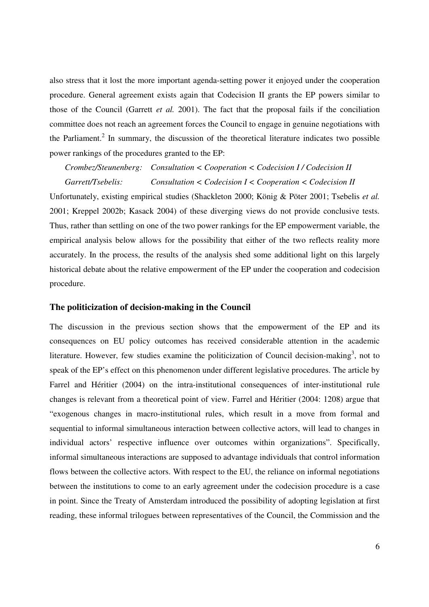also stress that it lost the more important agenda-setting power it enjoyed under the cooperation procedure. General agreement exists again that Codecision II grants the EP powers similar to those of the Council (Garrett *et al.* 2001). The fact that the proposal fails if the conciliation committee does not reach an agreement forces the Council to engage in genuine negotiations with the Parliament.<sup>2</sup> In summary, the discussion of the theoretical literature indicates two possible power rankings of the procedures granted to the EP:

# *Crombez/Steunenberg: Consultation < Cooperation < Codecision I / Codecision II Garrett/Tsebelis: Consultation < Codecision I < Cooperation < Codecision II*

Unfortunately, existing empirical studies (Shackleton 2000; König & Pöter 2001; Tsebelis *et al.* 2001; Kreppel 2002b; Kasack 2004) of these diverging views do not provide conclusive tests. Thus, rather than settling on one of the two power rankings for the EP empowerment variable, the empirical analysis below allows for the possibility that either of the two reflects reality more accurately. In the process, the results of the analysis shed some additional light on this largely historical debate about the relative empowerment of the EP under the cooperation and codecision procedure.

#### **The politicization of decision-making in the Council**

The discussion in the previous section shows that the empowerment of the EP and its consequences on EU policy outcomes has received considerable attention in the academic literature. However, few studies examine the politicization of Council decision-making<sup>3</sup>, not to speak of the EP's effect on this phenomenon under different legislative procedures. The article by Farrel and Héritier (2004) on the intra-institutional consequences of inter-institutional rule changes is relevant from a theoretical point of view. Farrel and Héritier (2004: 1208) argue that "exogenous changes in macro-institutional rules, which result in a move from formal and sequential to informal simultaneous interaction between collective actors, will lead to changes in individual actors' respective influence over outcomes within organizations". Specifically, informal simultaneous interactions are supposed to advantage individuals that control information flows between the collective actors. With respect to the EU, the reliance on informal negotiations between the institutions to come to an early agreement under the codecision procedure is a case in point. Since the Treaty of Amsterdam introduced the possibility of adopting legislation at first reading, these informal trilogues between representatives of the Council, the Commission and the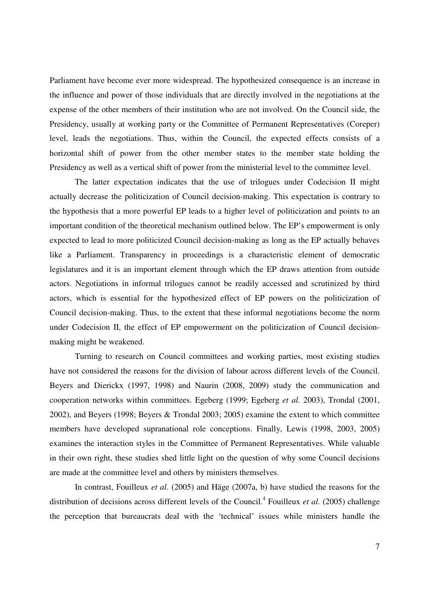Parliament have become ever more widespread. The hypothesized consequence is an increase in the influence and power of those individuals that are directly involved in the negotiations at the expense of the other members of their institution who are not involved. On the Council side, the Presidency, usually at working party or the Committee of Permanent Representatives (Coreper) level, leads the negotiations. Thus, within the Council, the expected effects consists of a horizontal shift of power from the other member states to the member state holding the Presidency as well as a vertical shift of power from the ministerial level to the committee level.

The latter expectation indicates that the use of trilogues under Codecision II might actually decrease the politicization of Council decision-making. This expectation is contrary to the hypothesis that a more powerful EP leads to a higher level of politicization and points to an important condition of the theoretical mechanism outlined below. The EP's empowerment is only expected to lead to more politicized Council decision-making as long as the EP actually behaves like a Parliament. Transparency in proceedings is a characteristic element of democratic legislatures and it is an important element through which the EP draws attention from outside actors. Negotiations in informal trilogues cannot be readily accessed and scrutinized by third actors, which is essential for the hypothesized effect of EP powers on the politicization of Council decision-making. Thus, to the extent that these informal negotiations become the norm under Codecision II, the effect of EP empowerment on the politicization of Council decisionmaking might be weakened.

Turning to research on Council committees and working parties, most existing studies have not considered the reasons for the division of labour across different levels of the Council. Beyers and Dierickx (1997, 1998) and Naurin (2008, 2009) study the communication and cooperation networks within committees. Egeberg (1999; Egeberg *et al.* 2003), Trondal (2001, 2002), and Beyers (1998; Beyers & Trondal 2003; 2005) examine the extent to which committee members have developed supranational role conceptions. Finally, Lewis (1998, 2003, 2005) examines the interaction styles in the Committee of Permanent Representatives. While valuable in their own right, these studies shed little light on the question of why some Council decisions are made at the committee level and others by ministers themselves.

In contrast, Fouilleux *et al*. (2005) and Häge (2007a, b) have studied the reasons for the distribution of decisions across different levels of the Council.<sup>4</sup> Fouilleux *et al.* (2005) challenge the perception that bureaucrats deal with the 'technical' issues while ministers handle the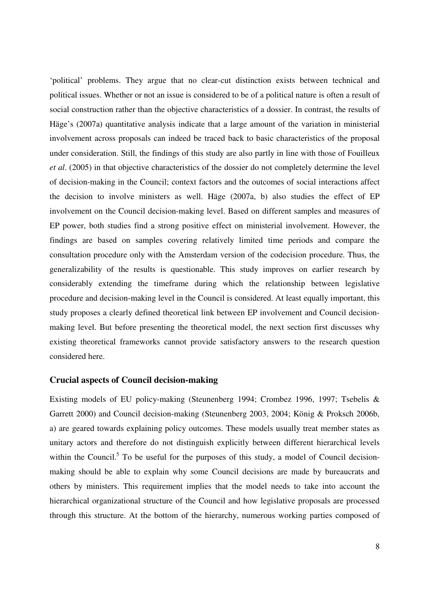'political' problems. They argue that no clear-cut distinction exists between technical and political issues. Whether or not an issue is considered to be of a political nature is often a result of social construction rather than the objective characteristics of a dossier. In contrast, the results of Häge's (2007a) quantitative analysis indicate that a large amount of the variation in ministerial involvement across proposals can indeed be traced back to basic characteristics of the proposal under consideration. Still, the findings of this study are also partly in line with those of Fouilleux *et al*. (2005) in that objective characteristics of the dossier do not completely determine the level of decision-making in the Council; context factors and the outcomes of social interactions affect the decision to involve ministers as well. Häge (2007a, b) also studies the effect of EP involvement on the Council decision-making level. Based on different samples and measures of EP power, both studies find a strong positive effect on ministerial involvement. However, the findings are based on samples covering relatively limited time periods and compare the consultation procedure only with the Amsterdam version of the codecision procedure. Thus, the generalizability of the results is questionable. This study improves on earlier research by considerably extending the timeframe during which the relationship between legislative procedure and decision-making level in the Council is considered. At least equally important, this study proposes a clearly defined theoretical link between EP involvement and Council decisionmaking level. But before presenting the theoretical model, the next section first discusses why existing theoretical frameworks cannot provide satisfactory answers to the research question considered here.

#### **Crucial aspects of Council decision-making**

Existing models of EU policy-making (Steunenberg 1994; Crombez 1996, 1997; Tsebelis & Garrett 2000) and Council decision-making (Steunenberg 2003, 2004; König & Proksch 2006b, a) are geared towards explaining policy outcomes. These models usually treat member states as unitary actors and therefore do not distinguish explicitly between different hierarchical levels within the Council.<sup>5</sup> To be useful for the purposes of this study, a model of Council decisionmaking should be able to explain why some Council decisions are made by bureaucrats and others by ministers. This requirement implies that the model needs to take into account the hierarchical organizational structure of the Council and how legislative proposals are processed through this structure. At the bottom of the hierarchy, numerous working parties composed of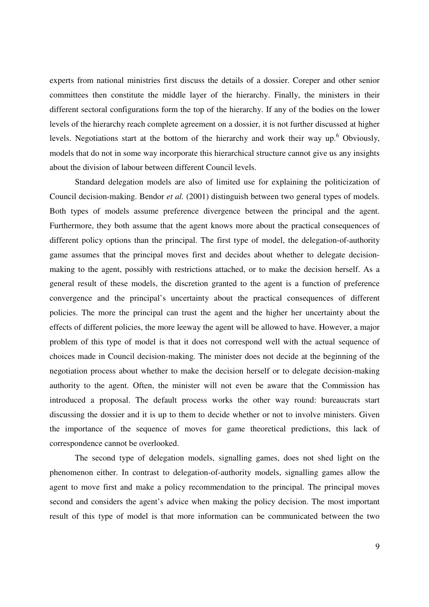experts from national ministries first discuss the details of a dossier. Coreper and other senior committees then constitute the middle layer of the hierarchy. Finally, the ministers in their different sectoral configurations form the top of the hierarchy. If any of the bodies on the lower levels of the hierarchy reach complete agreement on a dossier, it is not further discussed at higher levels. Negotiations start at the bottom of the hierarchy and work their way up.<sup>6</sup> Obviously, models that do not in some way incorporate this hierarchical structure cannot give us any insights about the division of labour between different Council levels.

Standard delegation models are also of limited use for explaining the politicization of Council decision-making. Bendor *et al.* (2001) distinguish between two general types of models. Both types of models assume preference divergence between the principal and the agent. Furthermore, they both assume that the agent knows more about the practical consequences of different policy options than the principal. The first type of model, the delegation-of-authority game assumes that the principal moves first and decides about whether to delegate decisionmaking to the agent, possibly with restrictions attached, or to make the decision herself. As a general result of these models, the discretion granted to the agent is a function of preference convergence and the principal's uncertainty about the practical consequences of different policies. The more the principal can trust the agent and the higher her uncertainty about the effects of different policies, the more leeway the agent will be allowed to have. However, a major problem of this type of model is that it does not correspond well with the actual sequence of choices made in Council decision-making. The minister does not decide at the beginning of the negotiation process about whether to make the decision herself or to delegate decision-making authority to the agent. Often, the minister will not even be aware that the Commission has introduced a proposal. The default process works the other way round: bureaucrats start discussing the dossier and it is up to them to decide whether or not to involve ministers. Given the importance of the sequence of moves for game theoretical predictions, this lack of correspondence cannot be overlooked.

The second type of delegation models, signalling games, does not shed light on the phenomenon either. In contrast to delegation-of-authority models, signalling games allow the agent to move first and make a policy recommendation to the principal. The principal moves second and considers the agent's advice when making the policy decision. The most important result of this type of model is that more information can be communicated between the two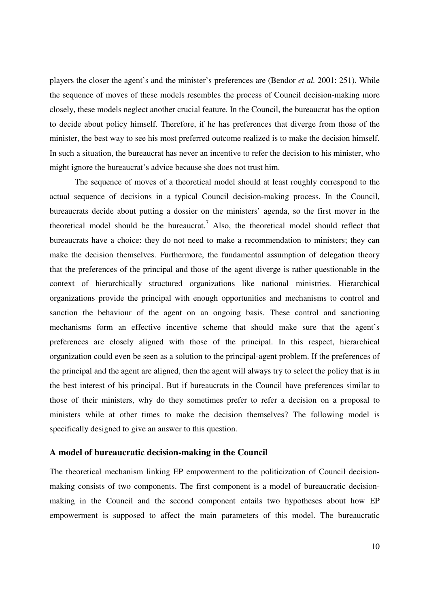players the closer the agent's and the minister's preferences are (Bendor *et al.* 2001: 251). While the sequence of moves of these models resembles the process of Council decision-making more closely, these models neglect another crucial feature. In the Council, the bureaucrat has the option to decide about policy himself. Therefore, if he has preferences that diverge from those of the minister, the best way to see his most preferred outcome realized is to make the decision himself. In such a situation, the bureaucrat has never an incentive to refer the decision to his minister, who might ignore the bureaucrat's advice because she does not trust him.

The sequence of moves of a theoretical model should at least roughly correspond to the actual sequence of decisions in a typical Council decision-making process. In the Council, bureaucrats decide about putting a dossier on the ministers' agenda, so the first mover in the theoretical model should be the bureaucrat.<sup>7</sup> Also, the theoretical model should reflect that bureaucrats have a choice: they do not need to make a recommendation to ministers; they can make the decision themselves. Furthermore, the fundamental assumption of delegation theory that the preferences of the principal and those of the agent diverge is rather questionable in the context of hierarchically structured organizations like national ministries. Hierarchical organizations provide the principal with enough opportunities and mechanisms to control and sanction the behaviour of the agent on an ongoing basis. These control and sanctioning mechanisms form an effective incentive scheme that should make sure that the agent's preferences are closely aligned with those of the principal. In this respect, hierarchical organization could even be seen as a solution to the principal-agent problem. If the preferences of the principal and the agent are aligned, then the agent will always try to select the policy that is in the best interest of his principal. But if bureaucrats in the Council have preferences similar to those of their ministers, why do they sometimes prefer to refer a decision on a proposal to ministers while at other times to make the decision themselves? The following model is specifically designed to give an answer to this question.

#### **A model of bureaucratic decision-making in the Council**

The theoretical mechanism linking EP empowerment to the politicization of Council decisionmaking consists of two components. The first component is a model of bureaucratic decisionmaking in the Council and the second component entails two hypotheses about how EP empowerment is supposed to affect the main parameters of this model. The bureaucratic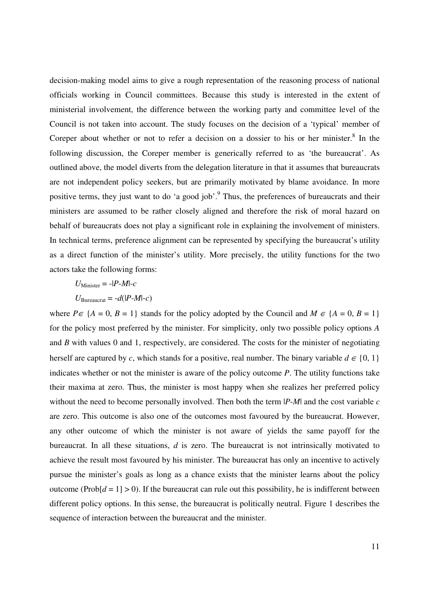decision-making model aims to give a rough representation of the reasoning process of national officials working in Council committees. Because this study is interested in the extent of ministerial involvement, the difference between the working party and committee level of the Council is not taken into account. The study focuses on the decision of a 'typical' member of Coreper about whether or not to refer a decision on a dossier to his or her minister. $8$  In the following discussion, the Coreper member is generically referred to as 'the bureaucrat'. As outlined above, the model diverts from the delegation literature in that it assumes that bureaucrats are not independent policy seekers, but are primarily motivated by blame avoidance. In more positive terms, they just want to do 'a good job'.<sup>9</sup> Thus, the preferences of bureaucrats and their ministers are assumed to be rather closely aligned and therefore the risk of moral hazard on behalf of bureaucrats does not play a significant role in explaining the involvement of ministers. In technical terms, preference alignment can be represented by specifying the bureaucrat's utility as a direct function of the minister's utility. More precisely, the utility functions for the two actors take the following forms:

$$
U_{\text{Minister}} = -|P-M| - c
$$

$$
U_{\text{Bureaucrat}} = -d(|P-M| - c)
$$

where  $P \in \{A = 0, B = 1\}$  stands for the policy adopted by the Council and  $M \in \{A = 0, B = 1\}$ for the policy most preferred by the minister. For simplicity, only two possible policy options *A* and *B* with values 0 and 1, respectively, are considered. The costs for the minister of negotiating herself are captured by *c*, which stands for a positive, real number. The binary variable  $d \in \{0, 1\}$ indicates whether or not the minister is aware of the policy outcome *P*. The utility functions take their maxima at zero. Thus, the minister is most happy when she realizes her preferred policy without the need to become personally involved. Then both the term |*P*-*M*| and the cost variable *c* are zero. This outcome is also one of the outcomes most favoured by the bureaucrat. However, any other outcome of which the minister is not aware of yields the same payoff for the bureaucrat. In all these situations, *d* is zero. The bureaucrat is not intrinsically motivated to achieve the result most favoured by his minister. The bureaucrat has only an incentive to actively pursue the minister's goals as long as a chance exists that the minister learns about the policy outcome ( $Prob[d = 1] > 0$ ). If the bureaucrat can rule out this possibility, he is indifferent between different policy options. In this sense, the bureaucrat is politically neutral. Figure 1 describes the sequence of interaction between the bureaucrat and the minister.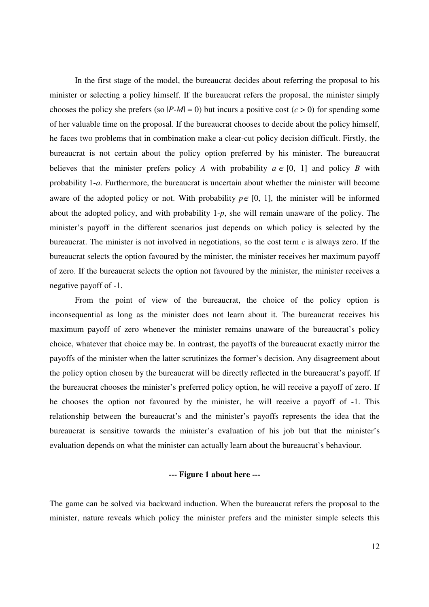In the first stage of the model, the bureaucrat decides about referring the proposal to his minister or selecting a policy himself. If the bureaucrat refers the proposal, the minister simply chooses the policy she prefers (so  $|P-M| = 0$ ) but incurs a positive cost ( $c > 0$ ) for spending some of her valuable time on the proposal. If the bureaucrat chooses to decide about the policy himself, he faces two problems that in combination make a clear-cut policy decision difficult. Firstly, the bureaucrat is not certain about the policy option preferred by his minister. The bureaucrat believes that the minister prefers policy *A* with probability  $a \in [0, 1]$  and policy *B* with probability 1-*a*. Furthermore, the bureaucrat is uncertain about whether the minister will become aware of the adopted policy or not. With probability  $p \in [0, 1]$ , the minister will be informed about the adopted policy, and with probability 1-*p*, she will remain unaware of the policy. The minister's payoff in the different scenarios just depends on which policy is selected by the bureaucrat. The minister is not involved in negotiations, so the cost term *c* is always zero. If the bureaucrat selects the option favoured by the minister, the minister receives her maximum payoff of zero. If the bureaucrat selects the option not favoured by the minister, the minister receives a negative payoff of -1.

From the point of view of the bureaucrat, the choice of the policy option is inconsequential as long as the minister does not learn about it. The bureaucrat receives his maximum payoff of zero whenever the minister remains unaware of the bureaucrat's policy choice, whatever that choice may be. In contrast, the payoffs of the bureaucrat exactly mirror the payoffs of the minister when the latter scrutinizes the former's decision. Any disagreement about the policy option chosen by the bureaucrat will be directly reflected in the bureaucrat's payoff. If the bureaucrat chooses the minister's preferred policy option, he will receive a payoff of zero. If he chooses the option not favoured by the minister, he will receive a payoff of -1. This relationship between the bureaucrat's and the minister's payoffs represents the idea that the bureaucrat is sensitive towards the minister's evaluation of his job but that the minister's evaluation depends on what the minister can actually learn about the bureaucrat's behaviour.

### **--- Figure 1 about here ---**

The game can be solved via backward induction. When the bureaucrat refers the proposal to the minister, nature reveals which policy the minister prefers and the minister simple selects this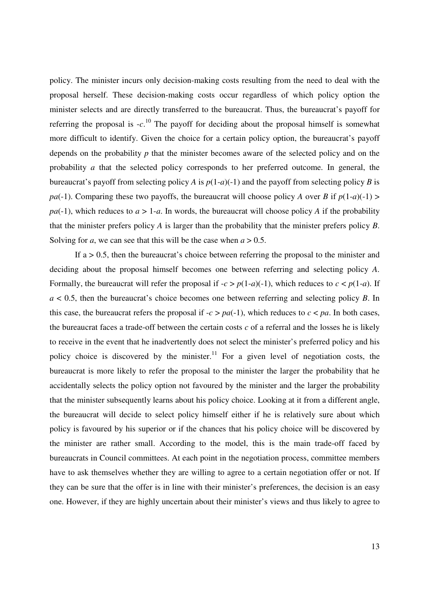policy. The minister incurs only decision-making costs resulting from the need to deal with the proposal herself. These decision-making costs occur regardless of which policy option the minister selects and are directly transferred to the bureaucrat. Thus, the bureaucrat's payoff for referring the proposal is  $-c$ <sup>10</sup>. The payoff for deciding about the proposal himself is somewhat more difficult to identify. Given the choice for a certain policy option, the bureaucrat's payoff depends on the probability *p* that the minister becomes aware of the selected policy and on the probability *a* that the selected policy corresponds to her preferred outcome. In general, the bureaucrat's payoff from selecting policy *A* is  $p(1-a)(-1)$  and the payoff from selecting policy *B* is *pa*(-1). Comparing these two payoffs, the bureaucrat will choose policy *A* over *B* if  $p(1-a)(-1)$  > *pa*(-1), which reduces to  $a > 1-a$ . In words, the bureaucrat will choose policy *A* if the probability that the minister prefers policy *A* is larger than the probability that the minister prefers policy *B*. Solving for *a*, we can see that this will be the case when  $a > 0.5$ .

If  $a > 0.5$ , then the bureaucrat's choice between referring the proposal to the minister and deciding about the proposal himself becomes one between referring and selecting policy *A*. Formally, the bureaucrat will refer the proposal if  $-c > p(1-a)(-1)$ , which reduces to  $c < p(1-a)$ . If *a* < 0.5, then the bureaucrat's choice becomes one between referring and selecting policy *B*. In this case, the bureaucrat refers the proposal if  $-c > pa(-1)$ , which reduces to  $c < pa$ . In both cases, the bureaucrat faces a trade-off between the certain costs  $c$  of a referral and the losses he is likely to receive in the event that he inadvertently does not select the minister's preferred policy and his policy choice is discovered by the minister.<sup>11</sup> For a given level of negotiation costs, the bureaucrat is more likely to refer the proposal to the minister the larger the probability that he accidentally selects the policy option not favoured by the minister and the larger the probability that the minister subsequently learns about his policy choice. Looking at it from a different angle, the bureaucrat will decide to select policy himself either if he is relatively sure about which policy is favoured by his superior or if the chances that his policy choice will be discovered by the minister are rather small. According to the model, this is the main trade-off faced by bureaucrats in Council committees. At each point in the negotiation process, committee members have to ask themselves whether they are willing to agree to a certain negotiation offer or not. If they can be sure that the offer is in line with their minister's preferences, the decision is an easy one. However, if they are highly uncertain about their minister's views and thus likely to agree to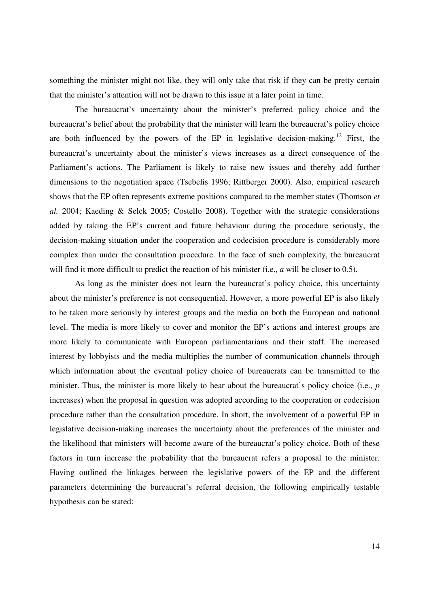something the minister might not like, they will only take that risk if they can be pretty certain that the minister's attention will not be drawn to this issue at a later point in time.

The bureaucrat's uncertainty about the minister's preferred policy choice and the bureaucrat's belief about the probability that the minister will learn the bureaucrat's policy choice are both influenced by the powers of the EP in legislative decision-making.<sup>12</sup> First, the bureaucrat's uncertainty about the minister's views increases as a direct consequence of the Parliament's actions. The Parliament is likely to raise new issues and thereby add further dimensions to the negotiation space (Tsebelis 1996; Rittberger 2000). Also, empirical research shows that the EP often represents extreme positions compared to the member states (Thomson *et al.* 2004; Kaeding & Selck 2005; Costello 2008). Together with the strategic considerations added by taking the EP's current and future behaviour during the procedure seriously, the decision-making situation under the cooperation and codecision procedure is considerably more complex than under the consultation procedure. In the face of such complexity, the bureaucrat will find it more difficult to predict the reaction of his minister (i.e., *a* will be closer to 0.5).

As long as the minister does not learn the bureaucrat's policy choice, this uncertainty about the minister's preference is not consequential. However, a more powerful EP is also likely to be taken more seriously by interest groups and the media on both the European and national level. The media is more likely to cover and monitor the EP's actions and interest groups are more likely to communicate with European parliamentarians and their staff. The increased interest by lobbyists and the media multiplies the number of communication channels through which information about the eventual policy choice of bureaucrats can be transmitted to the minister. Thus, the minister is more likely to hear about the bureaucrat's policy choice (i.e., *p* increases) when the proposal in question was adopted according to the cooperation or codecision procedure rather than the consultation procedure. In short, the involvement of a powerful EP in legislative decision-making increases the uncertainty about the preferences of the minister and the likelihood that ministers will become aware of the bureaucrat's policy choice. Both of these factors in turn increase the probability that the bureaucrat refers a proposal to the minister. Having outlined the linkages between the legislative powers of the EP and the different parameters determining the bureaucrat's referral decision, the following empirically testable hypothesis can be stated: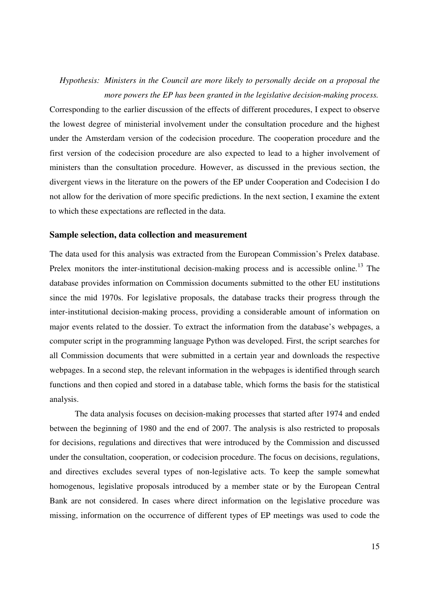# *Hypothesis: Ministers in the Council are more likely to personally decide on a proposal the more powers the EP has been granted in the legislative decision-making process.*

Corresponding to the earlier discussion of the effects of different procedures, I expect to observe the lowest degree of ministerial involvement under the consultation procedure and the highest under the Amsterdam version of the codecision procedure. The cooperation procedure and the first version of the codecision procedure are also expected to lead to a higher involvement of ministers than the consultation procedure. However, as discussed in the previous section, the divergent views in the literature on the powers of the EP under Cooperation and Codecision I do not allow for the derivation of more specific predictions. In the next section, I examine the extent to which these expectations are reflected in the data.

#### **Sample selection, data collection and measurement**

The data used for this analysis was extracted from the European Commission's Prelex database. Prelex monitors the inter-institutional decision-making process and is accessible online.<sup>13</sup> The database provides information on Commission documents submitted to the other EU institutions since the mid 1970s. For legislative proposals, the database tracks their progress through the inter-institutional decision-making process, providing a considerable amount of information on major events related to the dossier. To extract the information from the database's webpages, a computer script in the programming language Python was developed. First, the script searches for all Commission documents that were submitted in a certain year and downloads the respective webpages. In a second step, the relevant information in the webpages is identified through search functions and then copied and stored in a database table, which forms the basis for the statistical analysis.

The data analysis focuses on decision-making processes that started after 1974 and ended between the beginning of 1980 and the end of 2007. The analysis is also restricted to proposals for decisions, regulations and directives that were introduced by the Commission and discussed under the consultation, cooperation, or codecision procedure. The focus on decisions, regulations, and directives excludes several types of non-legislative acts. To keep the sample somewhat homogenous, legislative proposals introduced by a member state or by the European Central Bank are not considered. In cases where direct information on the legislative procedure was missing, information on the occurrence of different types of EP meetings was used to code the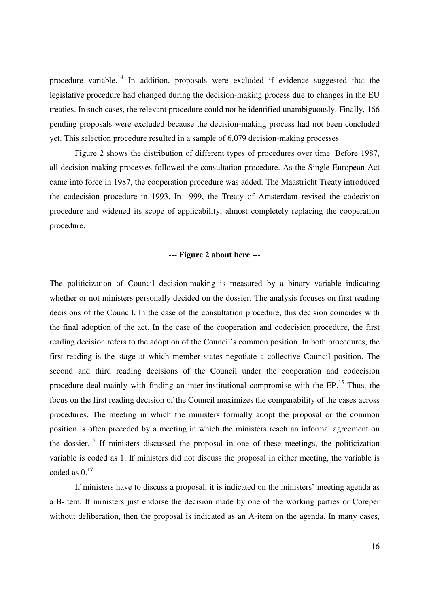procedure variable.<sup>14</sup> In addition, proposals were excluded if evidence suggested that the legislative procedure had changed during the decision-making process due to changes in the EU treaties. In such cases, the relevant procedure could not be identified unambiguously. Finally, 166 pending proposals were excluded because the decision-making process had not been concluded yet. This selection procedure resulted in a sample of 6,079 decision-making processes.

Figure 2 shows the distribution of different types of procedures over time. Before 1987, all decision-making processes followed the consultation procedure. As the Single European Act came into force in 1987, the cooperation procedure was added. The Maastricht Treaty introduced the codecision procedure in 1993. In 1999, the Treaty of Amsterdam revised the codecision procedure and widened its scope of applicability, almost completely replacing the cooperation procedure.

#### **--- Figure 2 about here ---**

The politicization of Council decision-making is measured by a binary variable indicating whether or not ministers personally decided on the dossier. The analysis focuses on first reading decisions of the Council. In the case of the consultation procedure, this decision coincides with the final adoption of the act. In the case of the cooperation and codecision procedure, the first reading decision refers to the adoption of the Council's common position. In both procedures, the first reading is the stage at which member states negotiate a collective Council position. The second and third reading decisions of the Council under the cooperation and codecision procedure deal mainly with finding an inter-institutional compromise with the EP.<sup>15</sup> Thus, the focus on the first reading decision of the Council maximizes the comparability of the cases across procedures. The meeting in which the ministers formally adopt the proposal or the common position is often preceded by a meeting in which the ministers reach an informal agreement on the dossier.<sup>16</sup> If ministers discussed the proposal in one of these meetings, the politicization variable is coded as 1. If ministers did not discuss the proposal in either meeting, the variable is coded as  $0.^{17}$ 

If ministers have to discuss a proposal, it is indicated on the ministers' meeting agenda as a B-item. If ministers just endorse the decision made by one of the working parties or Coreper without deliberation, then the proposal is indicated as an A-item on the agenda. In many cases,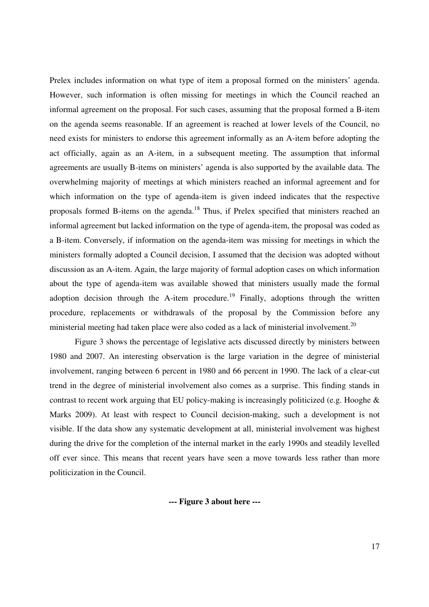Prelex includes information on what type of item a proposal formed on the ministers' agenda. However, such information is often missing for meetings in which the Council reached an informal agreement on the proposal. For such cases, assuming that the proposal formed a B-item on the agenda seems reasonable. If an agreement is reached at lower levels of the Council, no need exists for ministers to endorse this agreement informally as an A-item before adopting the act officially, again as an A-item, in a subsequent meeting. The assumption that informal agreements are usually B-items on ministers' agenda is also supported by the available data. The overwhelming majority of meetings at which ministers reached an informal agreement and for which information on the type of agenda-item is given indeed indicates that the respective proposals formed B-items on the agenda.<sup>18</sup> Thus, if Prelex specified that ministers reached an informal agreement but lacked information on the type of agenda-item, the proposal was coded as a B-item. Conversely, if information on the agenda-item was missing for meetings in which the ministers formally adopted a Council decision, I assumed that the decision was adopted without discussion as an A-item. Again, the large majority of formal adoption cases on which information about the type of agenda-item was available showed that ministers usually made the formal adoption decision through the A-item procedure.<sup>19</sup> Finally, adoptions through the written procedure, replacements or withdrawals of the proposal by the Commission before any ministerial meeting had taken place were also coded as a lack of ministerial involvement.<sup>20</sup>

Figure 3 shows the percentage of legislative acts discussed directly by ministers between 1980 and 2007. An interesting observation is the large variation in the degree of ministerial involvement, ranging between 6 percent in 1980 and 66 percent in 1990. The lack of a clear-cut trend in the degree of ministerial involvement also comes as a surprise. This finding stands in contrast to recent work arguing that EU policy-making is increasingly politicized (e.g. Hooghe & Marks 2009). At least with respect to Council decision-making, such a development is not visible. If the data show any systematic development at all, ministerial involvement was highest during the drive for the completion of the internal market in the early 1990s and steadily levelled off ever since. This means that recent years have seen a move towards less rather than more politicization in the Council.

**--- Figure 3 about here ---**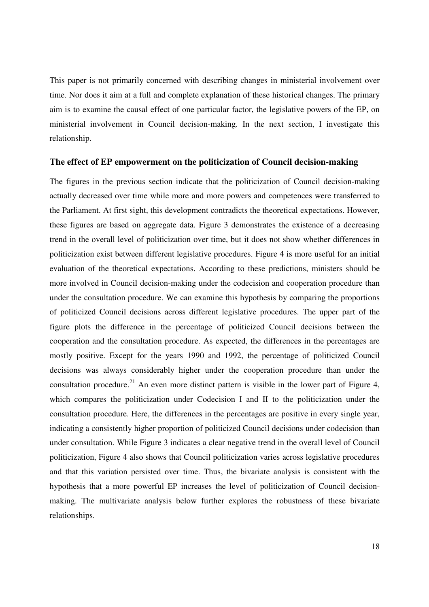This paper is not primarily concerned with describing changes in ministerial involvement over time. Nor does it aim at a full and complete explanation of these historical changes. The primary aim is to examine the causal effect of one particular factor, the legislative powers of the EP, on ministerial involvement in Council decision-making. In the next section, I investigate this relationship.

#### **The effect of EP empowerment on the politicization of Council decision-making**

The figures in the previous section indicate that the politicization of Council decision-making actually decreased over time while more and more powers and competences were transferred to the Parliament. At first sight, this development contradicts the theoretical expectations. However, these figures are based on aggregate data. Figure 3 demonstrates the existence of a decreasing trend in the overall level of politicization over time, but it does not show whether differences in politicization exist between different legislative procedures. Figure 4 is more useful for an initial evaluation of the theoretical expectations. According to these predictions, ministers should be more involved in Council decision-making under the codecision and cooperation procedure than under the consultation procedure. We can examine this hypothesis by comparing the proportions of politicized Council decisions across different legislative procedures. The upper part of the figure plots the difference in the percentage of politicized Council decisions between the cooperation and the consultation procedure. As expected, the differences in the percentages are mostly positive. Except for the years 1990 and 1992, the percentage of politicized Council decisions was always considerably higher under the cooperation procedure than under the consultation procedure.<sup>21</sup> An even more distinct pattern is visible in the lower part of Figure 4, which compares the politicization under Codecision I and II to the politicization under the consultation procedure. Here, the differences in the percentages are positive in every single year, indicating a consistently higher proportion of politicized Council decisions under codecision than under consultation. While Figure 3 indicates a clear negative trend in the overall level of Council politicization, Figure 4 also shows that Council politicization varies across legislative procedures and that this variation persisted over time. Thus, the bivariate analysis is consistent with the hypothesis that a more powerful EP increases the level of politicization of Council decisionmaking. The multivariate analysis below further explores the robustness of these bivariate relationships.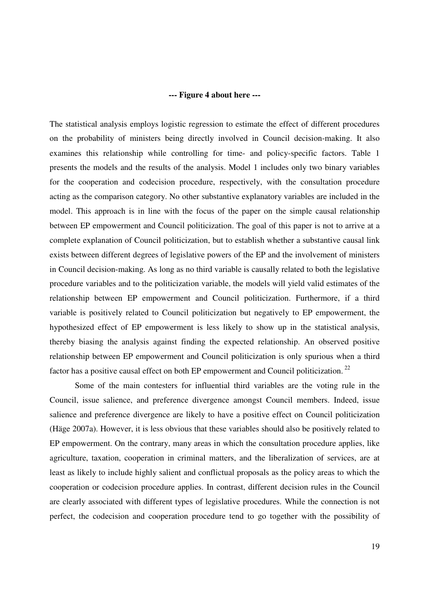#### **--- Figure 4 about here ---**

The statistical analysis employs logistic regression to estimate the effect of different procedures on the probability of ministers being directly involved in Council decision-making. It also examines this relationship while controlling for time- and policy-specific factors. Table 1 presents the models and the results of the analysis. Model 1 includes only two binary variables for the cooperation and codecision procedure, respectively, with the consultation procedure acting as the comparison category. No other substantive explanatory variables are included in the model. This approach is in line with the focus of the paper on the simple causal relationship between EP empowerment and Council politicization. The goal of this paper is not to arrive at a complete explanation of Council politicization, but to establish whether a substantive causal link exists between different degrees of legislative powers of the EP and the involvement of ministers in Council decision-making. As long as no third variable is causally related to both the legislative procedure variables and to the politicization variable, the models will yield valid estimates of the relationship between EP empowerment and Council politicization. Furthermore, if a third variable is positively related to Council politicization but negatively to EP empowerment, the hypothesized effect of EP empowerment is less likely to show up in the statistical analysis, thereby biasing the analysis against finding the expected relationship. An observed positive relationship between EP empowerment and Council politicization is only spurious when a third factor has a positive causal effect on both EP empowerment and Council politicization.<sup>22</sup>

Some of the main contesters for influential third variables are the voting rule in the Council, issue salience, and preference divergence amongst Council members. Indeed, issue salience and preference divergence are likely to have a positive effect on Council politicization (Häge 2007a). However, it is less obvious that these variables should also be positively related to EP empowerment. On the contrary, many areas in which the consultation procedure applies, like agriculture, taxation, cooperation in criminal matters, and the liberalization of services, are at least as likely to include highly salient and conflictual proposals as the policy areas to which the cooperation or codecision procedure applies. In contrast, different decision rules in the Council are clearly associated with different types of legislative procedures. While the connection is not perfect, the codecision and cooperation procedure tend to go together with the possibility of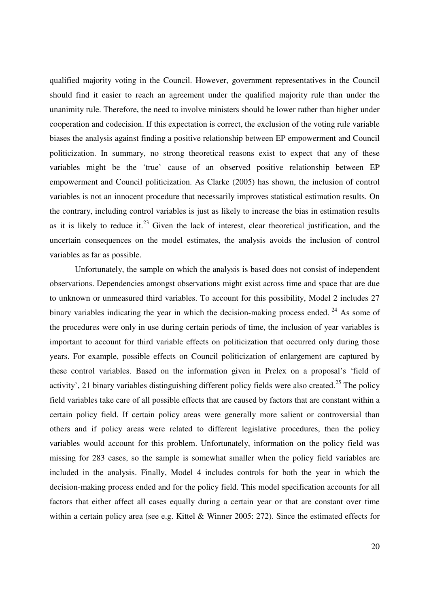qualified majority voting in the Council. However, government representatives in the Council should find it easier to reach an agreement under the qualified majority rule than under the unanimity rule. Therefore, the need to involve ministers should be lower rather than higher under cooperation and codecision. If this expectation is correct, the exclusion of the voting rule variable biases the analysis against finding a positive relationship between EP empowerment and Council politicization. In summary, no strong theoretical reasons exist to expect that any of these variables might be the 'true' cause of an observed positive relationship between EP empowerment and Council politicization. As Clarke (2005) has shown, the inclusion of control variables is not an innocent procedure that necessarily improves statistical estimation results. On the contrary, including control variables is just as likely to increase the bias in estimation results as it is likely to reduce it. $^{23}$  Given the lack of interest, clear theoretical justification, and the uncertain consequences on the model estimates, the analysis avoids the inclusion of control variables as far as possible.

Unfortunately, the sample on which the analysis is based does not consist of independent observations. Dependencies amongst observations might exist across time and space that are due to unknown or unmeasured third variables. To account for this possibility, Model 2 includes 27 binary variables indicating the year in which the decision-making process ended.<sup>24</sup> As some of the procedures were only in use during certain periods of time, the inclusion of year variables is important to account for third variable effects on politicization that occurred only during those years. For example, possible effects on Council politicization of enlargement are captured by these control variables. Based on the information given in Prelex on a proposal's 'field of activity', 21 binary variables distinguishing different policy fields were also created.<sup>25</sup> The policy field variables take care of all possible effects that are caused by factors that are constant within a certain policy field. If certain policy areas were generally more salient or controversial than others and if policy areas were related to different legislative procedures, then the policy variables would account for this problem. Unfortunately, information on the policy field was missing for 283 cases, so the sample is somewhat smaller when the policy field variables are included in the analysis. Finally, Model 4 includes controls for both the year in which the decision-making process ended and for the policy field. This model specification accounts for all factors that either affect all cases equally during a certain year or that are constant over time within a certain policy area (see e.g. Kittel & Winner 2005: 272). Since the estimated effects for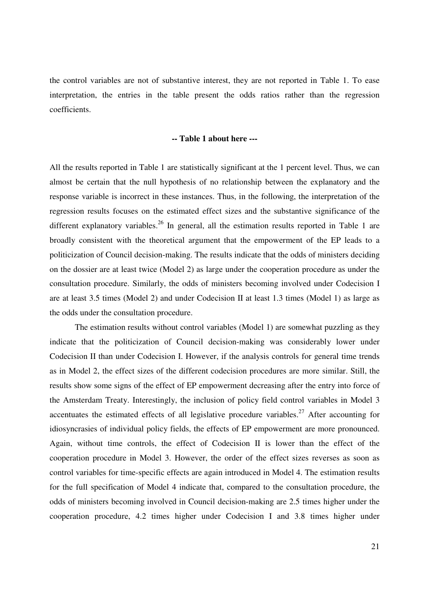the control variables are not of substantive interest, they are not reported in Table 1. To ease interpretation, the entries in the table present the odds ratios rather than the regression coefficients.

### **-- Table 1 about here ---**

All the results reported in Table 1 are statistically significant at the 1 percent level. Thus, we can almost be certain that the null hypothesis of no relationship between the explanatory and the response variable is incorrect in these instances. Thus, in the following, the interpretation of the regression results focuses on the estimated effect sizes and the substantive significance of the different explanatory variables.<sup>26</sup> In general, all the estimation results reported in Table 1 are broadly consistent with the theoretical argument that the empowerment of the EP leads to a politicization of Council decision-making. The results indicate that the odds of ministers deciding on the dossier are at least twice (Model 2) as large under the cooperation procedure as under the consultation procedure. Similarly, the odds of ministers becoming involved under Codecision I are at least 3.5 times (Model 2) and under Codecision II at least 1.3 times (Model 1) as large as the odds under the consultation procedure.

The estimation results without control variables (Model 1) are somewhat puzzling as they indicate that the politicization of Council decision-making was considerably lower under Codecision II than under Codecision I. However, if the analysis controls for general time trends as in Model 2, the effect sizes of the different codecision procedures are more similar. Still, the results show some signs of the effect of EP empowerment decreasing after the entry into force of the Amsterdam Treaty. Interestingly, the inclusion of policy field control variables in Model 3 accentuates the estimated effects of all legislative procedure variables.<sup>27</sup> After accounting for idiosyncrasies of individual policy fields, the effects of EP empowerment are more pronounced. Again, without time controls, the effect of Codecision II is lower than the effect of the cooperation procedure in Model 3. However, the order of the effect sizes reverses as soon as control variables for time-specific effects are again introduced in Model 4. The estimation results for the full specification of Model 4 indicate that, compared to the consultation procedure, the odds of ministers becoming involved in Council decision-making are 2.5 times higher under the cooperation procedure, 4.2 times higher under Codecision I and 3.8 times higher under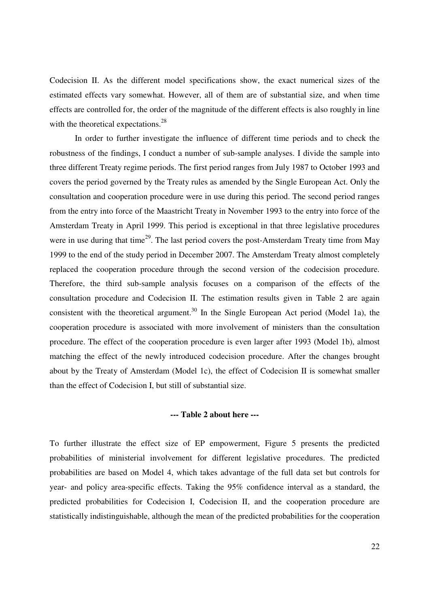Codecision II. As the different model specifications show, the exact numerical sizes of the estimated effects vary somewhat. However, all of them are of substantial size, and when time effects are controlled for, the order of the magnitude of the different effects is also roughly in line with the theoretical expectations.<sup>28</sup>

In order to further investigate the influence of different time periods and to check the robustness of the findings, I conduct a number of sub-sample analyses. I divide the sample into three different Treaty regime periods. The first period ranges from July 1987 to October 1993 and covers the period governed by the Treaty rules as amended by the Single European Act. Only the consultation and cooperation procedure were in use during this period. The second period ranges from the entry into force of the Maastricht Treaty in November 1993 to the entry into force of the Amsterdam Treaty in April 1999. This period is exceptional in that three legislative procedures were in use during that time<sup>29</sup>. The last period covers the post-Amsterdam Treaty time from May 1999 to the end of the study period in December 2007. The Amsterdam Treaty almost completely replaced the cooperation procedure through the second version of the codecision procedure. Therefore, the third sub-sample analysis focuses on a comparison of the effects of the consultation procedure and Codecision II. The estimation results given in Table 2 are again consistent with the theoretical argument.<sup>30</sup> In the Single European Act period (Model 1a), the cooperation procedure is associated with more involvement of ministers than the consultation procedure. The effect of the cooperation procedure is even larger after 1993 (Model 1b), almost matching the effect of the newly introduced codecision procedure. After the changes brought about by the Treaty of Amsterdam (Model 1c), the effect of Codecision II is somewhat smaller than the effect of Codecision I, but still of substantial size.

#### **--- Table 2 about here ---**

To further illustrate the effect size of EP empowerment, Figure 5 presents the predicted probabilities of ministerial involvement for different legislative procedures. The predicted probabilities are based on Model 4, which takes advantage of the full data set but controls for year- and policy area-specific effects. Taking the 95% confidence interval as a standard, the predicted probabilities for Codecision I, Codecision II, and the cooperation procedure are statistically indistinguishable, although the mean of the predicted probabilities for the cooperation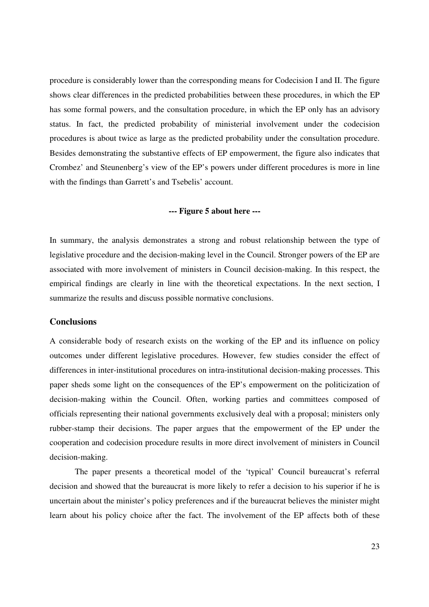procedure is considerably lower than the corresponding means for Codecision I and II. The figure shows clear differences in the predicted probabilities between these procedures, in which the EP has some formal powers, and the consultation procedure, in which the EP only has an advisory status. In fact, the predicted probability of ministerial involvement under the codecision procedures is about twice as large as the predicted probability under the consultation procedure. Besides demonstrating the substantive effects of EP empowerment, the figure also indicates that Crombez' and Steunenberg's view of the EP's powers under different procedures is more in line with the findings than Garrett's and Tsebelis' account.

# **--- Figure 5 about here ---**

In summary, the analysis demonstrates a strong and robust relationship between the type of legislative procedure and the decision-making level in the Council. Stronger powers of the EP are associated with more involvement of ministers in Council decision-making. In this respect, the empirical findings are clearly in line with the theoretical expectations. In the next section, I summarize the results and discuss possible normative conclusions.

#### **Conclusions**

A considerable body of research exists on the working of the EP and its influence on policy outcomes under different legislative procedures. However, few studies consider the effect of differences in inter-institutional procedures on intra-institutional decision-making processes. This paper sheds some light on the consequences of the EP's empowerment on the politicization of decision-making within the Council. Often, working parties and committees composed of officials representing their national governments exclusively deal with a proposal; ministers only rubber-stamp their decisions. The paper argues that the empowerment of the EP under the cooperation and codecision procedure results in more direct involvement of ministers in Council decision-making.

The paper presents a theoretical model of the 'typical' Council bureaucrat's referral decision and showed that the bureaucrat is more likely to refer a decision to his superior if he is uncertain about the minister's policy preferences and if the bureaucrat believes the minister might learn about his policy choice after the fact. The involvement of the EP affects both of these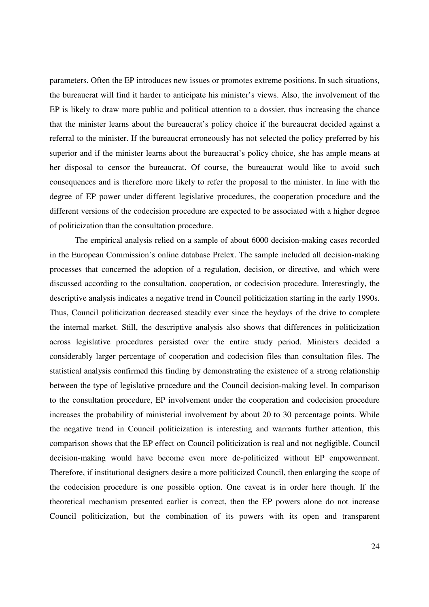parameters. Often the EP introduces new issues or promotes extreme positions. In such situations, the bureaucrat will find it harder to anticipate his minister's views. Also, the involvement of the EP is likely to draw more public and political attention to a dossier, thus increasing the chance that the minister learns about the bureaucrat's policy choice if the bureaucrat decided against a referral to the minister. If the bureaucrat erroneously has not selected the policy preferred by his superior and if the minister learns about the bureaucrat's policy choice, she has ample means at her disposal to censor the bureaucrat. Of course, the bureaucrat would like to avoid such consequences and is therefore more likely to refer the proposal to the minister. In line with the degree of EP power under different legislative procedures, the cooperation procedure and the different versions of the codecision procedure are expected to be associated with a higher degree of politicization than the consultation procedure.

The empirical analysis relied on a sample of about 6000 decision-making cases recorded in the European Commission's online database Prelex. The sample included all decision-making processes that concerned the adoption of a regulation, decision, or directive, and which were discussed according to the consultation, cooperation, or codecision procedure. Interestingly, the descriptive analysis indicates a negative trend in Council politicization starting in the early 1990s. Thus, Council politicization decreased steadily ever since the heydays of the drive to complete the internal market. Still, the descriptive analysis also shows that differences in politicization across legislative procedures persisted over the entire study period. Ministers decided a considerably larger percentage of cooperation and codecision files than consultation files. The statistical analysis confirmed this finding by demonstrating the existence of a strong relationship between the type of legislative procedure and the Council decision-making level. In comparison to the consultation procedure, EP involvement under the cooperation and codecision procedure increases the probability of ministerial involvement by about 20 to 30 percentage points. While the negative trend in Council politicization is interesting and warrants further attention, this comparison shows that the EP effect on Council politicization is real and not negligible. Council decision-making would have become even more de-politicized without EP empowerment. Therefore, if institutional designers desire a more politicized Council, then enlarging the scope of the codecision procedure is one possible option. One caveat is in order here though. If the theoretical mechanism presented earlier is correct, then the EP powers alone do not increase Council politicization, but the combination of its powers with its open and transparent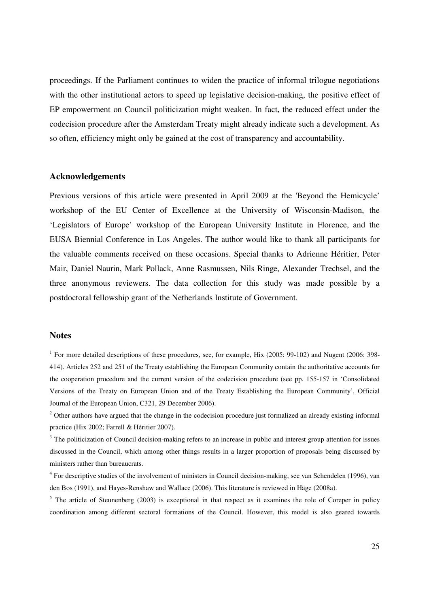proceedings. If the Parliament continues to widen the practice of informal trilogue negotiations with the other institutional actors to speed up legislative decision-making, the positive effect of EP empowerment on Council politicization might weaken. In fact, the reduced effect under the codecision procedure after the Amsterdam Treaty might already indicate such a development. As so often, efficiency might only be gained at the cost of transparency and accountability.

#### **Acknowledgements**

Previous versions of this article were presented in April 2009 at the 'Beyond the Hemicycle' workshop of the EU Center of Excellence at the University of Wisconsin-Madison, the 'Legislators of Europe' workshop of the European University Institute in Florence, and the EUSA Biennial Conference in Los Angeles. The author would like to thank all participants for the valuable comments received on these occasions. Special thanks to Adrienne Héritier, Peter Mair, Daniel Naurin, Mark Pollack, Anne Rasmussen, Nils Ringe, Alexander Trechsel, and the three anonymous reviewers. The data collection for this study was made possible by a postdoctoral fellowship grant of the Netherlands Institute of Government.

#### **Notes**

<sup>1</sup> For more detailed descriptions of these procedures, see, for example, Hix (2005: 99-102) and Nugent (2006: 398-414). Articles 252 and 251 of the Treaty establishing the European Community contain the authoritative accounts for the cooperation procedure and the current version of the codecision procedure (see pp. 155-157 in 'Consolidated Versions of the Treaty on European Union and of the Treaty Establishing the European Community', Official Journal of the European Union, C321, 29 December 2006).

 $2$  Other authors have argued that the change in the codecision procedure just formalized an already existing informal practice (Hix 2002; Farrell & Héritier 2007).

<sup>3</sup> The politicization of Council decision-making refers to an increase in public and interest group attention for issues discussed in the Council, which among other things results in a larger proportion of proposals being discussed by ministers rather than bureaucrats.

<sup>4</sup> For descriptive studies of the involvement of ministers in Council decision-making, see van Schendelen (1996), van den Bos (1991), and Hayes-Renshaw and Wallace (2006). This literature is reviewed in Häge (2008a).

 $<sup>5</sup>$  The article of Steunenberg (2003) is exceptional in that respect as it examines the role of Coreper in policy</sup> coordination among different sectoral formations of the Council. However, this model is also geared towards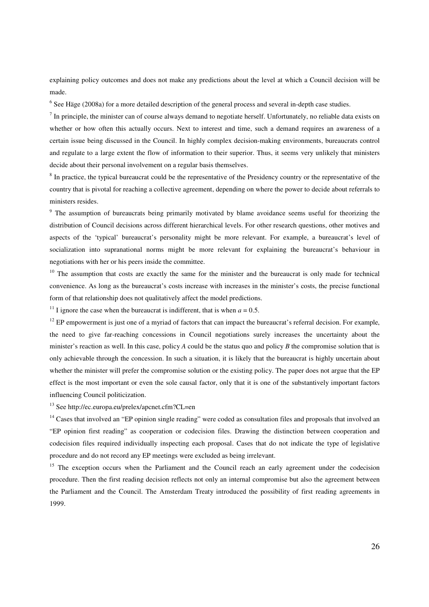explaining policy outcomes and does not make any predictions about the level at which a Council decision will be made.

<sup>6</sup> See Häge (2008a) for a more detailed description of the general process and several in-depth case studies.

 $<sup>7</sup>$  In principle, the minister can of course always demand to negotiate herself. Unfortunately, no reliable data exists on</sup> whether or how often this actually occurs. Next to interest and time, such a demand requires an awareness of a certain issue being discussed in the Council. In highly complex decision-making environments, bureaucrats control and regulate to a large extent the flow of information to their superior. Thus, it seems very unlikely that ministers decide about their personal involvement on a regular basis themselves.

 $8$  In practice, the typical bureaucrat could be the representative of the Presidency country or the representative of the country that is pivotal for reaching a collective agreement, depending on where the power to decide about referrals to ministers resides.

<sup>9</sup> The assumption of bureaucrats being primarily motivated by blame avoidance seems useful for theorizing the distribution of Council decisions across different hierarchical levels. For other research questions, other motives and aspects of the 'typical' bureaucrat's personality might be more relevant. For example, a bureaucrat's level of socialization into supranational norms might be more relevant for explaining the bureaucrat's behaviour in negotiations with her or his peers inside the committee.

 $10$  The assumption that costs are exactly the same for the minister and the bureaucrat is only made for technical convenience. As long as the bureaucrat's costs increase with increases in the minister's costs, the precise functional form of that relationship does not qualitatively affect the model predictions.

<sup>11</sup> I ignore the case when the bureaucrat is indifferent, that is when  $a = 0.5$ .

 $12$  EP empowerment is just one of a myriad of factors that can impact the bureaucrat's referral decision. For example, the need to give far-reaching concessions in Council negotiations surely increases the uncertainty about the minister's reaction as well. In this case, policy *A* could be the status quo and policy *B* the compromise solution that is only achievable through the concession. In such a situation, it is likely that the bureaucrat is highly uncertain about whether the minister will prefer the compromise solution or the existing policy. The paper does not argue that the EP effect is the most important or even the sole causal factor, only that it is one of the substantively important factors influencing Council politicization.

<sup>13</sup> See http://ec.europa.eu/prelex/apcnet.cfm?CL=en

 $14$  Cases that involved an "EP opinion single reading" were coded as consultation files and proposals that involved an "EP opinion first reading" as cooperation or codecision files. Drawing the distinction between cooperation and codecision files required individually inspecting each proposal. Cases that do not indicate the type of legislative procedure and do not record any EP meetings were excluded as being irrelevant.

<sup>15</sup> The exception occurs when the Parliament and the Council reach an early agreement under the codecision procedure. Then the first reading decision reflects not only an internal compromise but also the agreement between the Parliament and the Council. The Amsterdam Treaty introduced the possibility of first reading agreements in 1999.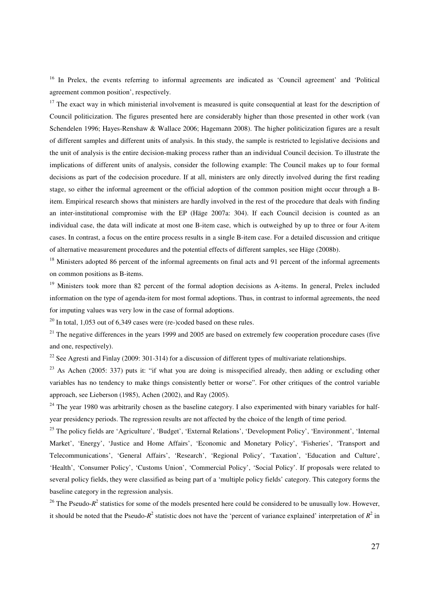<sup>16</sup> In Prelex, the events referring to informal agreements are indicated as 'Council agreement' and 'Political agreement common position', respectively.

 $17$  The exact way in which ministerial involvement is measured is quite consequential at least for the description of Council politicization. The figures presented here are considerably higher than those presented in other work (van Schendelen 1996; Hayes-Renshaw & Wallace 2006; Hagemann 2008). The higher politicization figures are a result of different samples and different units of analysis. In this study, the sample is restricted to legislative decisions and the unit of analysis is the entire decision-making process rather than an individual Council decision. To illustrate the implications of different units of analysis, consider the following example: The Council makes up to four formal decisions as part of the codecision procedure. If at all, ministers are only directly involved during the first reading stage, so either the informal agreement or the official adoption of the common position might occur through a Bitem. Empirical research shows that ministers are hardly involved in the rest of the procedure that deals with finding an inter-institutional compromise with the EP (Häge 2007a: 304). If each Council decision is counted as an individual case, the data will indicate at most one B-item case, which is outweighed by up to three or four A-item cases. In contrast, a focus on the entire process results in a single B-item case. For a detailed discussion and critique of alternative measurement procedures and the potential effects of different samples, see Häge (2008b).

<sup>18</sup> Ministers adopted 86 percent of the informal agreements on final acts and 91 percent of the informal agreements on common positions as B-items.

<sup>19</sup> Ministers took more than 82 percent of the formal adoption decisions as A-items. In general, Prelex included information on the type of agenda-item for most formal adoptions. Thus, in contrast to informal agreements, the need for imputing values was very low in the case of formal adoptions.

 $^{20}$  In total, 1,053 out of 6,349 cases were (re-)coded based on these rules.

 $21$  The negative differences in the years 1999 and 2005 are based on extremely few cooperation procedure cases (five and one, respectively).

<sup>22</sup> See Agresti and Finlay (2009: 301-314) for a discussion of different types of multivariate relationships.

<sup>23</sup> As Achen (2005: 337) puts it: "if what you are doing is misspecified already, then adding or excluding other variables has no tendency to make things consistently better or worse". For other critiques of the control variable approach, see Lieberson (1985), Achen (2002), and Ray (2005).

 $^{24}$  The year 1980 was arbitrarily chosen as the baseline category. I also experimented with binary variables for halfyear presidency periods. The regression results are not affected by the choice of the length of time period.

<sup>25</sup> The policy fields are 'Agriculture', 'Budget', 'External Relations', 'Development Policy', 'Environment', 'Internal Market', 'Energy', 'Justice and Home Affairs', 'Economic and Monetary Policy', 'Fisheries', 'Transport and Telecommunications', 'General Affairs', 'Research', 'Regional Policy', 'Taxation', 'Education and Culture', 'Health', 'Consumer Policy', 'Customs Union', 'Commercial Policy', 'Social Policy'. If proposals were related to several policy fields, they were classified as being part of a 'multiple policy fields' category. This category forms the baseline category in the regression analysis.

<sup>26</sup> The Pseudo- $R^2$  statistics for some of the models presented here could be considered to be unusually low. However, it should be noted that the Pseudo- $R^2$  statistic does not have the 'percent of variance explained' interpretation of  $R^2$  in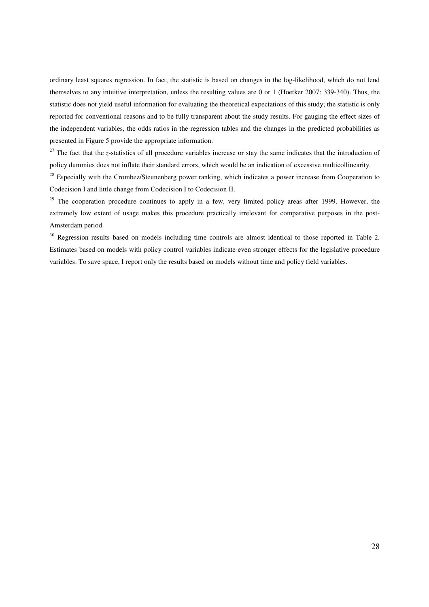ordinary least squares regression. In fact, the statistic is based on changes in the log-likelihood, which do not lend themselves to any intuitive interpretation, unless the resulting values are 0 or 1 (Hoetker 2007: 339-340). Thus, the statistic does not yield useful information for evaluating the theoretical expectations of this study; the statistic is only reported for conventional reasons and to be fully transparent about the study results. For gauging the effect sizes of the independent variables, the odds ratios in the regression tables and the changes in the predicted probabilities as presented in Figure 5 provide the appropriate information.

<sup>27</sup> The fact that the *z*-statistics of all procedure variables increase or stay the same indicates that the introduction of policy dummies does not inflate their standard errors, which would be an indication of excessive multicollinearity.

<sup>28</sup> Especially with the Crombez/Steunenberg power ranking, which indicates a power increase from Cooperation to Codecision I and little change from Codecision I to Codecision II.

<sup>29</sup> The cooperation procedure continues to apply in a few, very limited policy areas after 1999. However, the extremely low extent of usage makes this procedure practically irrelevant for comparative purposes in the post-Amsterdam period.

<sup>30</sup> Regression results based on models including time controls are almost identical to those reported in Table 2. Estimates based on models with policy control variables indicate even stronger effects for the legislative procedure variables. To save space, I report only the results based on models without time and policy field variables.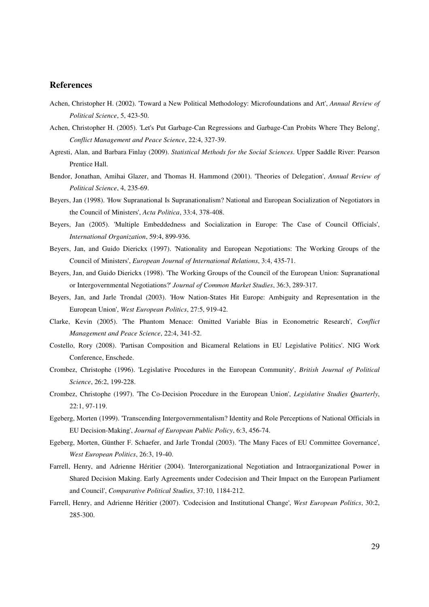#### **References**

- Achen, Christopher H. (2002). 'Toward a New Political Methodology: Microfoundations and Art', *Annual Review of Political Science*, 5, 423-50.
- Achen, Christopher H. (2005). 'Let's Put Garbage-Can Regressions and Garbage-Can Probits Where They Belong', *Conflict Management and Peace Science*, 22:4, 327-39.
- Agresti, Alan, and Barbara Finlay (2009). *Statistical Methods for the Social Sciences*. Upper Saddle River: Pearson Prentice Hall.
- Bendor, Jonathan, Amihai Glazer, and Thomas H. Hammond (2001). 'Theories of Delegation', *Annual Review of Political Science*, 4, 235-69.
- Beyers, Jan (1998). 'How Supranational Is Supranationalism? National and European Socialization of Negotiators in the Council of Ministers', *Acta Politica*, 33:4, 378-408.
- Beyers, Jan (2005). 'Multiple Embeddedness and Socialization in Europe: The Case of Council Officials', *International Organization*, 59:4, 899-936.
- Beyers, Jan, and Guido Dierickx (1997). 'Nationality and European Negotiations: The Working Groups of the Council of Ministers', *European Journal of International Relations*, 3:4, 435-71.
- Beyers, Jan, and Guido Dierickx (1998). 'The Working Groups of the Council of the European Union: Supranational or Intergovernmental Negotiations?' *Journal of Common Market Studies*, 36:3, 289-317.
- Beyers, Jan, and Jarle Trondal (2003). 'How Nation-States Hit Europe: Ambiguity and Representation in the European Union', *West European Politics*, 27:5, 919-42.
- Clarke, Kevin (2005). 'The Phantom Menace: Omitted Variable Bias in Econometric Research', *Conflict Management and Peace Science*, 22:4, 341-52.
- Costello, Rory (2008). 'Partisan Composition and Bicameral Relations in EU Legislative Politics'. NIG Work Conference, Enschede.
- Crombez, Christophe (1996). 'Legislative Procedures in the European Community', *British Journal of Political Science*, 26:2, 199-228.
- Crombez, Christophe (1997). 'The Co-Decision Procedure in the European Union', *Legislative Studies Quarterly*, 22:1, 97-119.
- Egeberg, Morten (1999). 'Transcending Intergovernmentalism? Identity and Role Perceptions of National Officials in EU Decision-Making', *Journal of European Public Policy*, 6:3, 456-74.
- Egeberg, Morten, Günther F. Schaefer, and Jarle Trondal (2003). 'The Many Faces of EU Committee Governance', *West European Politics*, 26:3, 19-40.
- Farrell, Henry, and Adrienne Héritier (2004). 'Interorganizational Negotiation and Intraorganizational Power in Shared Decision Making. Early Agreements under Codecision and Their Impact on the European Parliament and Council', *Comparative Political Studies*, 37:10, 1184-212.
- Farrell, Henry, and Adrienne Héritier (2007). 'Codecision and Institutional Change', *West European Politics*, 30:2, 285-300.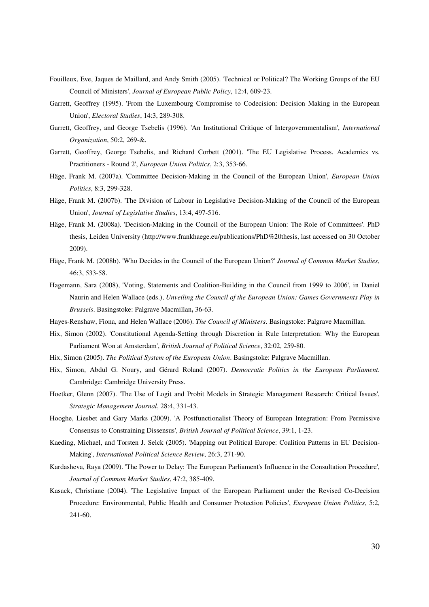- Fouilleux, Eve, Jaques de Maillard, and Andy Smith (2005). 'Technical or Political? The Working Groups of the EU Council of Ministers', *Journal of European Public Policy*, 12:4, 609-23.
- Garrett, Geoffrey (1995). 'From the Luxembourg Compromise to Codecision: Decision Making in the European Union', *Electoral Studies*, 14:3, 289-308.
- Garrett, Geoffrey, and George Tsebelis (1996). 'An Institutional Critique of Intergovernmentalism', *International Organization*, 50:2, 269-&.
- Garrett, Geoffrey, George Tsebelis, and Richard Corbett (2001). 'The EU Legislative Process. Academics vs. Practitioners - Round 2', *European Union Politics*, 2:3, 353-66.
- Häge, Frank M. (2007a). 'Committee Decision-Making in the Council of the European Union', *European Union Politics*, 8:3, 299-328.
- Häge, Frank M. (2007b). 'The Division of Labour in Legislative Decision-Making of the Council of the European Union', *Journal of Legislative Studies*, 13:4, 497-516.
- Häge, Frank M. (2008a). 'Decision-Making in the Council of the European Union: The Role of Committees'. PhD thesis, Leiden University (http://www.frankhaege.eu/publications/PhD%20thesis, last accessed on 30 October 2009).
- Häge, Frank M. (2008b). 'Who Decides in the Council of the European Union?' *Journal of Common Market Studies*, 46:3, 533-58.
- Hagemann, Sara (2008), 'Voting, Statements and Coalition-Building in the Council from 1999 to 2006', in Daniel Naurin and Helen Wallace (eds.), *Unveiling the Council of the European Union: Games Governments Play in Brussels*. Basingstoke: Palgrave Macmillan**,** 36-63.
- Hayes-Renshaw, Fiona, and Helen Wallace (2006). *The Council of Ministers*. Basingstoke: Palgrave Macmillan.
- Hix, Simon (2002). 'Constitutional Agenda-Setting through Discretion in Rule Interpretation: Why the European Parliament Won at Amsterdam', *British Journal of Political Science*, 32:02, 259-80.
- Hix, Simon (2005). *The Political System of the European Union*. Basingstoke: Palgrave Macmillan.
- Hix, Simon, Abdul G. Noury, and Gérard Roland (2007). *Democratic Politics in the European Parliament*. Cambridge: Cambridge University Press.
- Hoetker, Glenn (2007). 'The Use of Logit and Probit Models in Strategic Management Research: Critical Issues', *Strategic Management Journal*, 28:4, 331-43.
- Hooghe, Liesbet and Gary Marks (2009). 'A Postfunctionalist Theory of European Integration: From Permissive Consensus to Constraining Dissensus', *British Journal of Political Science*, 39:1, 1-23.
- Kaeding, Michael, and Torsten J. Selck (2005). 'Mapping out Political Europe: Coalition Patterns in EU Decision-Making', *International Political Science Review*, 26:3, 271-90.
- Kardasheva, Raya (2009). 'The Power to Delay: The European Parliament's Influence in the Consultation Procedure', *Journal of Common Market Studies*, 47:2, 385-409.
- Kasack, Christiane (2004). 'The Legislative Impact of the European Parliament under the Revised Co-Decision Procedure: Environmental, Public Health and Consumer Protection Policies', *European Union Politics*, 5:2, 241-60.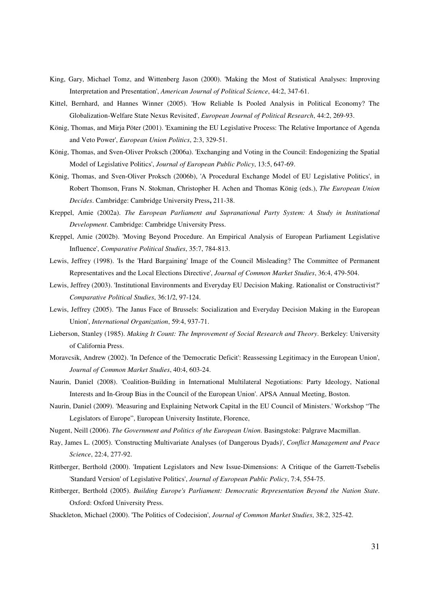- King, Gary, Michael Tomz, and Wittenberg Jason (2000). 'Making the Most of Statistical Analyses: Improving Interpretation and Presentation', *American Journal of Political Science*, 44:2, 347-61.
- Kittel, Bernhard, and Hannes Winner (2005). 'How Reliable Is Pooled Analysis in Political Economy? The Globalization-Welfare State Nexus Revisited', *European Journal of Political Research*, 44:2, 269-93.
- König, Thomas, and Mirja Pöter (2001). 'Examining the EU Legislative Process: The Relative Importance of Agenda and Veto Power', *European Union Politics*, 2:3, 329-51.
- König, Thomas, and Sven-Oliver Proksch (2006a). 'Exchanging and Voting in the Council: Endogenizing the Spatial Model of Legislative Politics', *Journal of European Public Policy*, 13:5, 647-69.
- König, Thomas, and Sven-Oliver Proksch (2006b), 'A Procedural Exchange Model of EU Legislative Politics', in Robert Thomson, Frans N. Stokman, Christopher H. Achen and Thomas König (eds.), *The European Union Decides*. Cambridge: Cambridge University Press**,** 211-38.
- Kreppel, Amie (2002a). *The European Parliament and Supranational Party System: A Study in Institutional Development*. Cambridge: Cambridge University Press.
- Kreppel, Amie (2002b). 'Moving Beyond Procedure. An Empirical Analysis of European Parliament Legislative Influence', *Comparative Political Studies*, 35:7, 784-813.
- Lewis, Jeffrey (1998). 'Is the 'Hard Bargaining' Image of the Council Misleading? The Committee of Permanent Representatives and the Local Elections Directive', *Journal of Common Market Studies*, 36:4, 479-504.
- Lewis, Jeffrey (2003). 'Institutional Environments and Everyday EU Decision Making. Rationalist or Constructivist?' *Comparative Political Studies*, 36:1/2, 97-124.
- Lewis, Jeffrey (2005). 'The Janus Face of Brussels: Socialization and Everyday Decision Making in the European Union', *International Organization*, 59:4, 937-71.
- Lieberson, Stanley (1985). *Making It Count: The Improvement of Social Research and Theory*. Berkeley: University of California Press.
- Moravcsik, Andrew (2002). 'In Defence of the 'Democratic Deficit': Reassessing Legitimacy in the European Union', *Journal of Common Market Studies*, 40:4, 603-24.
- Naurin, Daniel (2008). 'Coalition-Building in International Multilateral Negotiations: Party Ideology, National Interests and In-Group Bias in the Council of the European Union'. APSA Annual Meeting, Boston.
- Naurin, Daniel (2009). 'Measuring and Explaining Network Capital in the EU Council of Ministers.' Workshop "The Legislators of Europe", European University Institute, Florence,
- Nugent, Neill (2006). *The Government and Politics of the European Union*. Basingstoke: Palgrave Macmillan.
- Ray, James L. (2005). 'Constructing Multivariate Analyses (of Dangerous Dyads)', *Conflict Management and Peace Science*, 22:4, 277-92.
- Rittberger, Berthold (2000). 'Impatient Legislators and New Issue-Dimensions: A Critique of the Garrett-Tsebelis 'Standard Version' of Legislative Politics', *Journal of European Public Policy*, 7:4, 554-75.
- Rittberger, Berthold (2005). *Building Europe's Parliament: Democratic Representation Beyond the Nation State*. Oxford: Oxford University Press.
- Shackleton, Michael (2000). 'The Politics of Codecision', *Journal of Common Market Studies*, 38:2, 325-42.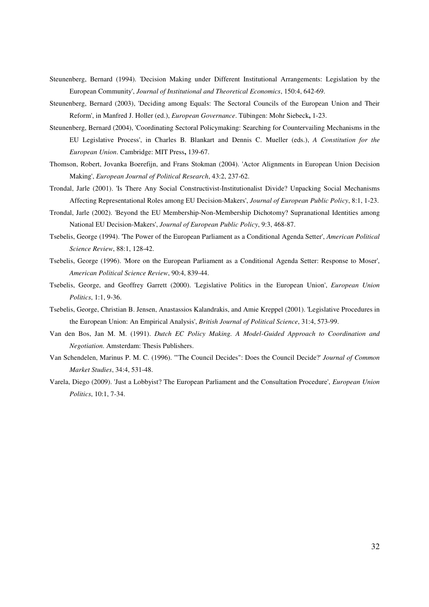- Steunenberg, Bernard (1994). 'Decision Making under Different Institutional Arrangements: Legislation by the European Community', *Journal of Institutional and Theoretical Economics*, 150:4, 642-69.
- Steunenberg, Bernard (2003), 'Deciding among Equals: The Sectoral Councils of the European Union and Their Reform', in Manfred J. Holler (ed.), *European Governance*. Tübingen: Mohr Siebeck**,** 1-23.
- Steunenberg, Bernard (2004), 'Coordinating Sectoral Policymaking: Searching for Countervailing Mechanisms in the EU Legislative Process', in Charles B. Blankart and Dennis C. Mueller (eds.), *A Constitution for the European Union*. Cambridge: MIT Press**,** 139-67.
- Thomson, Robert, Jovanka Boerefijn, and Frans Stokman (2004). 'Actor Alignments in European Union Decision Making', *European Journal of Political Research*, 43:2, 237-62.
- Trondal, Jarle (2001). 'Is There Any Social Constructivist-Institutionalist Divide? Unpacking Social Mechanisms Affecting Representational Roles among EU Decision-Makers', *Journal of European Public Policy*, 8:1, 1-23.
- Trondal, Jarle (2002). 'Beyond the EU Membership-Non-Membership Dichotomy? Supranational Identities among National EU Decision-Makers', *Journal of European Public Policy*, 9:3, 468-87.
- Tsebelis, George (1994). 'The Power of the European Parliament as a Conditional Agenda Setter', *American Political Science Review*, 88:1, 128-42.
- Tsebelis, George (1996). 'More on the European Parliament as a Conditional Agenda Setter: Response to Moser', *American Political Science Review*, 90:4, 839-44.
- Tsebelis, George, and Geoffrey Garrett (2000). 'Legislative Politics in the European Union', *European Union Politics*, 1:1, 9-36.
- Tsebelis, George, Christian B. Jensen, Anastassios Kalandrakis, and Amie Kreppel (2001). 'Legislative Procedures in the European Union: An Empirical Analysis', *British Journal of Political Science*, 31:4, 573-99.
- Van den Bos, Jan M. M. (1991). *Dutch EC Policy Making. A Model-Guided Approach to Coordination and Negotiation*. Amsterdam: Thesis Publishers.
- Van Schendelen, Marinus P. M. C. (1996). '"The Council Decides": Does the Council Decide?' *Journal of Common Market Studies*, 34:4, 531-48.
- Varela, Diego (2009). 'Just a Lobbyist? The European Parliament and the Consultation Procedure', *European Union Politics*, 10:1, 7-34.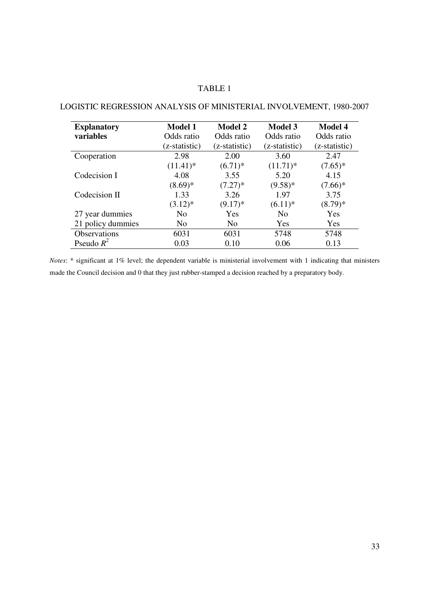# TABLE 1

| <b>Explanatory</b>  | <b>Model 1</b> | <b>Model 2</b> | <b>Model 3</b> | <b>Model 4</b> |
|---------------------|----------------|----------------|----------------|----------------|
| variables           | Odds ratio     | Odds ratio     | Odds ratio     | Odds ratio     |
|                     | (z-statistic)  | (z-statistic)  | (z-statistic)  | (z-statistic)  |
| Cooperation         | 2.98           | 2.00           | 3.60           | 2.47           |
|                     | $(11.41)^*$    | $(6.71)^*$     | $(11.71)^*$    | $(7.65)*$      |
| Codecision I        | 4.08           | 3.55           | 5.20           | 4.15           |
|                     | $(8.69)*$      | $(7.27)^*$     | $(9.58)*$      | $(7.66)*$      |
| Codecision II       | 1.33           | 3.26           | 1.97           | 3.75           |
|                     | $(3.12)^*$     | $(9.17)^*$     | $(6.11)^*$     | $(8.79)*$      |
| 27 year dummies     | N <sub>0</sub> | Yes            | N <sub>0</sub> | Yes            |
| 21 policy dummies   | N <sub>o</sub> | N <sub>o</sub> | Yes            | Yes            |
| <b>Observations</b> | 6031           | 6031           | 5748           | 5748           |
| Pseudo $R^2$        | 0.03           | 0.10           | 0.06           | 0.13           |

# LOGISTIC REGRESSION ANALYSIS OF MINISTERIAL INVOLVEMENT, 1980-2007

*Notes*: \* significant at 1% level; the dependent variable is ministerial involvement with 1 indicating that ministers made the Council decision and 0 that they just rubber-stamped a decision reached by a preparatory body.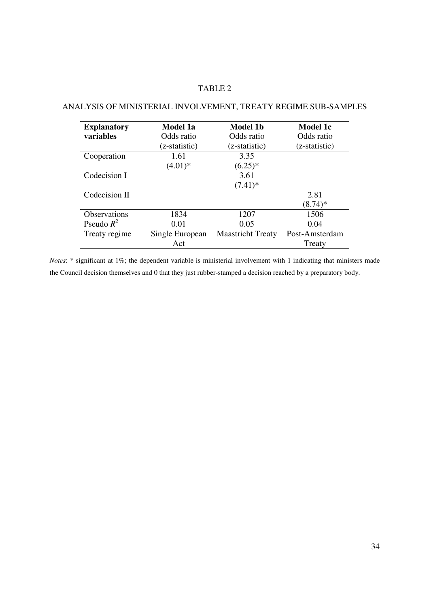# TABLE 2

# ANALYSIS OF MINISTERIAL INVOLVEMENT, TREATY REGIME SUB-SAMPLES

| <b>Explanatory</b>  | Model 1a        | Model 1b                 | Model 1c       |
|---------------------|-----------------|--------------------------|----------------|
| <b>variables</b>    | Odds ratio      | Odds ratio               | Odds ratio     |
|                     | (z-statistic)   | (z-statistic)            | (z-statistic)  |
| Cooperation         | 1.61            | 3.35                     |                |
|                     | $(4.01)*$       | $(6.25)^*$               |                |
| Codecision I        |                 | 3.61                     |                |
|                     |                 | $(7.41)^*$               |                |
| Codecision II       |                 |                          | 2.81           |
|                     |                 |                          | $(8.74)^*$     |
| <b>Observations</b> | 1834            | 1207                     | 1506           |
| Pseudo $R^2$        | 0.01            | 0.05                     | 0.04           |
| Treaty regime       | Single European | <b>Maastricht Treaty</b> | Post-Amsterdam |
|                     | Act             |                          | Treaty         |

*Notes*: \* significant at 1%; the dependent variable is ministerial involvement with 1 indicating that ministers made the Council decision themselves and 0 that they just rubber-stamped a decision reached by a preparatory body.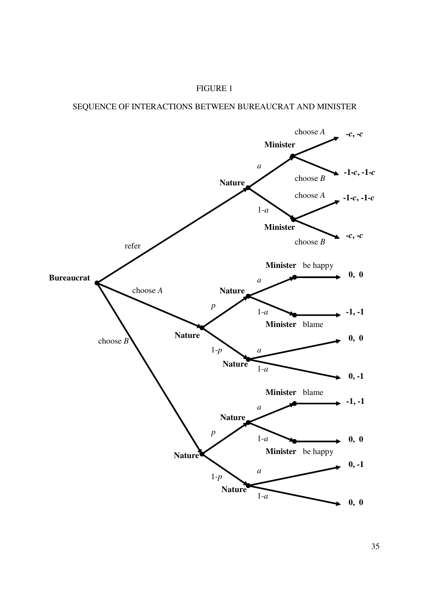# SEQUENCE OF INTERACTIONS BETWEEN BUREAUCRAT AND MINISTER

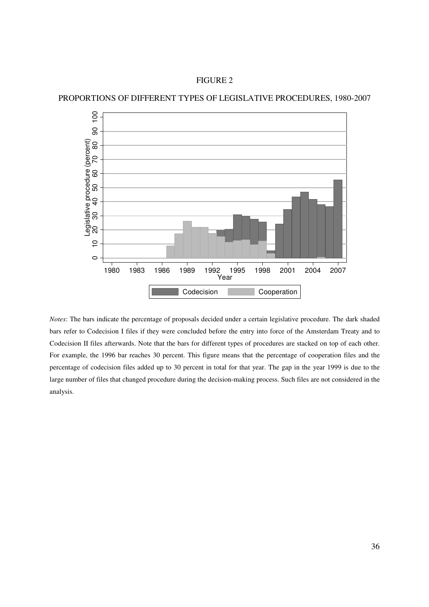FIGURE 2





*Notes*: The bars indicate the percentage of proposals decided under a certain legislative procedure. The dark shaded bars refer to Codecision I files if they were concluded before the entry into force of the Amsterdam Treaty and to Codecision II files afterwards. Note that the bars for different types of procedures are stacked on top of each other. For example, the 1996 bar reaches 30 percent. This figure means that the percentage of cooperation files and the percentage of codecision files added up to 30 percent in total for that year. The gap in the year 1999 is due to the large number of files that changed procedure during the decision-making process. Such files are not considered in the analysis.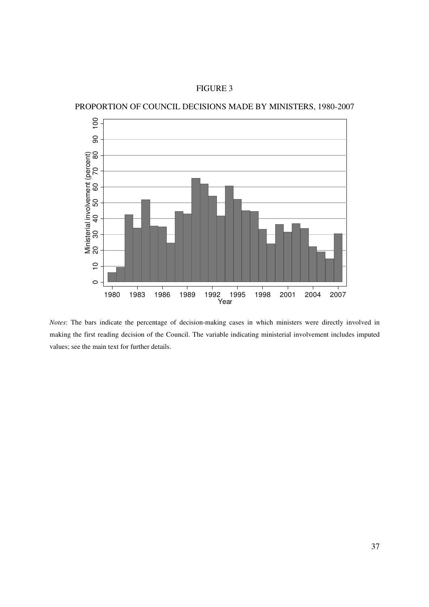PROPORTION OF COUNCIL DECISIONS MADE BY MINISTERS, 1980-2007



*Notes*: The bars indicate the percentage of decision-making cases in which ministers were directly involved in making the first reading decision of the Council. The variable indicating ministerial involvement includes imputed values; see the main text for further details.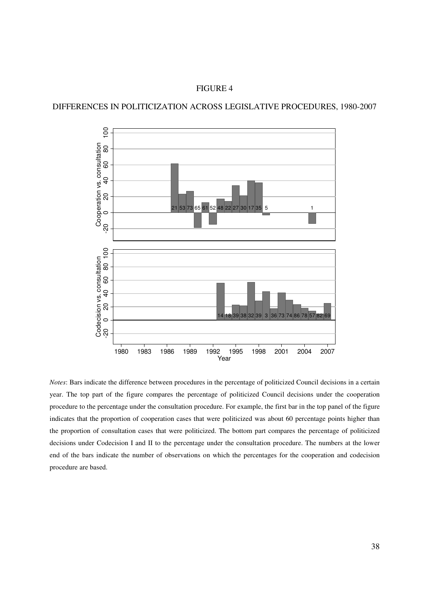# DIFFERENCES IN POLITICIZATION ACROSS LEGISLATIVE PROCEDURES, 1980-2007



*Notes*: Bars indicate the difference between procedures in the percentage of politicized Council decisions in a certain year. The top part of the figure compares the percentage of politicized Council decisions under the cooperation procedure to the percentage under the consultation procedure. For example, the first bar in the top panel of the figure indicates that the proportion of cooperation cases that were politicized was about 60 percentage points higher than the proportion of consultation cases that were politicized. The bottom part compares the percentage of politicized decisions under Codecision I and II to the percentage under the consultation procedure. The numbers at the lower end of the bars indicate the number of observations on which the percentages for the cooperation and codecision procedure are based.